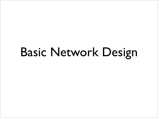# Basic Network Design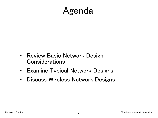#### Agenda

- Review Basic Network Design **Considerations**
- Examine Typical Network Designs
- Discuss Wireless Network Designs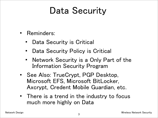## Data Security

- Reminders:
	- Data Security is Critical
	- Data Security Policy is Critical
	- Network Security is a Only Part of the Information Security Program
- See Also: TrueCrypt, PGP Desktop, Microsoft EFS, Microsoft BitLocker, Axcrypt, Credent Mobile Guardian, etc.
- There is a trend in the industry to focus much more highly on Data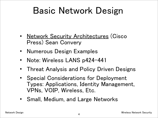## Basic Network Design

- Network Security Architectures (Cisco Press) Sean Convery
- Numerous Design Examples
- Note: Wireless LANS p424-441
- Threat Analysis and Policy Driven Designs
- Special Considerations for Deployment Types: Applications, Identity Management, VPNs, VOIP, Wireless, Etc.
- Small, Medium, and Large Networks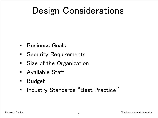## Design Considerations

- Business Goals
- Security Requirements
- Size of the Organization
- Available Staff
- Budget
- Industry Standards "Best Practice"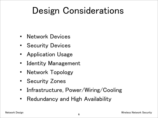## Design Considerations

- Network Devices
- Security Devices
- Application Usage
- Identity Management
- Network Topology
- Security Zones
- Infrastructure, Power/Wiring/Cooling
- Redundancy and High Availability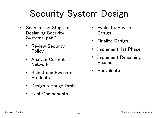## Security System Design

- Sean's Ten Steps to Designing Security Systems, p467
	- **Review Security Policy**
	- Analyze Current Network
	- Select and Evaluate Products
	- Design a Rough Draft
	- Test Components
- Evaluate/Revise Design
- Finalize Design
- Implement 1st Phase
- Implement Remaining Phases
- Reevaluate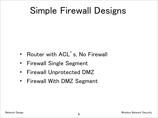## Simple Firewall Designs

- Router with ACL's, No Firewall
- Firewall Single Segment
- Firewall Unprotected DMZ
- Firewall With DMZ Segment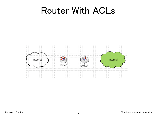#### Router With ACLs

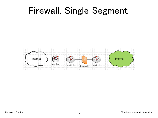#### Firewall, Single Segment

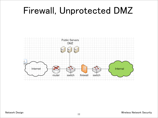#### Firewall, Unprotected DMZ

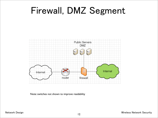#### Firewall, DMZ Segment



Note: switches not shown to improve readability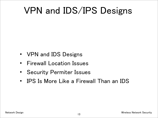## VPN and IDS/IPS Designs

- VPN and IDS Designs
- Firewall Location Issues
- Security Permiter Issues
- IPS Is More Like a Firewall Than an IDS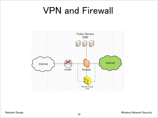## VPN and Firewall

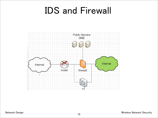#### IDS and Firewall

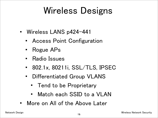## Wireless Designs

- Wireless LANS p424-441
	- Access Point Configuration
	- Rogue APs
	- Radio Issues
	- 802.1x, 80211i, SSL/TLS, IPSEC
	- Differentiated Group VLANS
		- Tend to be Proprietary
		- Match each SSID to a VLAN
- More on All of the Above Later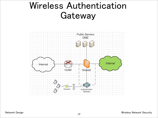#### Wireless Authentication Gateway

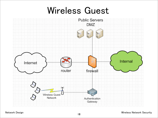#### Wireless Guest

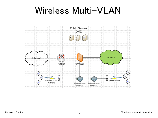#### Wireless Multi-VLAN

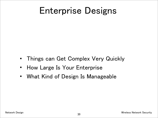#### Enterprise Designs

- Things can Get Complex Very Quickly
- How Large Is Your Enterprise
- What Kind of Design Is Manageable